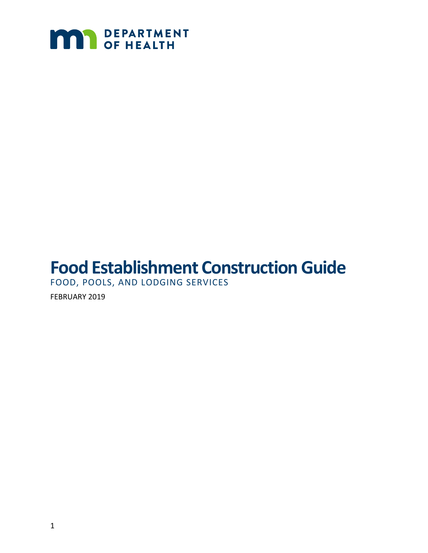

# **Food Establishment Construction Guide**

FOOD, POOLS, AND LODGING SERVICES

FEBRUARY 2019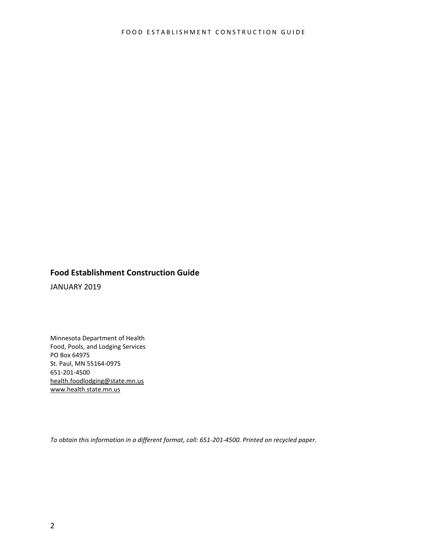#### **Food Establishment Construction Guide**

JANUARY 2019

Minnesota Department of Health Food, Pools, and Lodging Services PO Box 64975 St. Paul, MN 55164-0975 651-201-4500 health.foodlodging@state.mn.us [www.health.state.mn.us](http://www.health.state.mn.us/)

*To obtain this information in a different format, call: 651-201-4500. Printed on recycled paper.*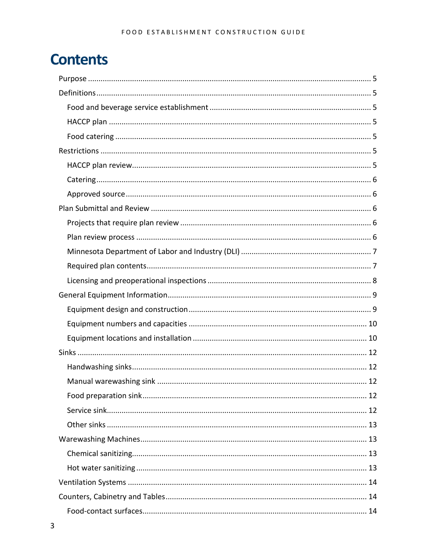## **Contents**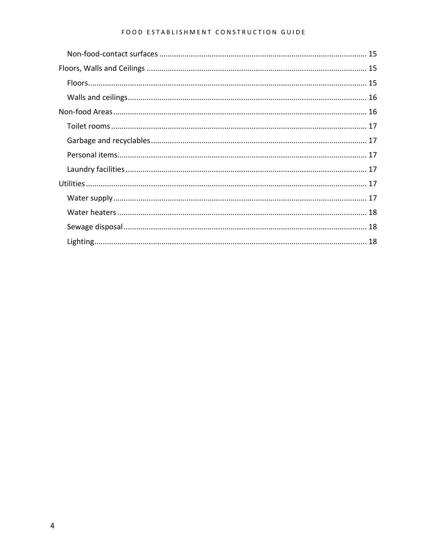#### FOOD ESTABLISHMENT CONSTRUCTION GUIDE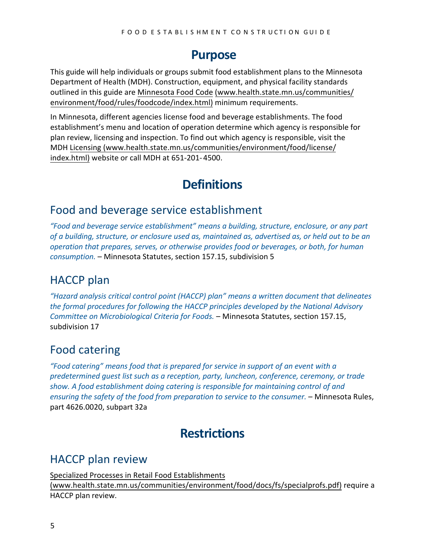#### **Purpose**

<span id="page-4-0"></span>This guide will help individuals or groups submit food establishment plans to the Minnesota Department of Health (MDH). Construction, equipment, and physical facility standards outlined in this guide are Minnesota Food Code [\(www.health.state.mn.us/](http://www.health.state.mn.us/communities/environment/food/rules/foodcode/index.html)communities/ [environment/food/rules/foodcode/index.html](http://www.health.state.mn.us/communities/environment/food/rules/foodcode/index.html)) minimum requirements.

In Minnesota, different agencies license food and beverage establishments. The food establishment's menu and location of operation determine which agency is responsible for plan review, licensing and inspection. To find out which agency is responsible, visit the [MDH Licensing \(www.health.state.mn.us/](http://www.health.state.mn.us/communities/environment/food/license/index.html)communities/environment/food/license/ [index.html](http://www.health.state.mn.us/communities/environment/food/license/index.html)) website or call MDH at 651-201- 4500.

## **Definitions**

#### <span id="page-4-2"></span><span id="page-4-1"></span>Food and beverage service establishment

*"Food and beverage service establishment" means a building, structure, enclosure, or any part of a building, structure, or enclosure used as, maintained as, advertised as, or held out to be an operation that prepares, serves, or otherwise provides food or beverages, or both, for human consumption.* – Minnesota Statutes, section 157.15, subdivision 5

### <span id="page-4-3"></span>HACCP plan

*"Hazard analysis critical control point (HACCP) plan" means a written document that delineates the formal procedures for following the HACCP principles developed by the National Advisory Committee on Microbiological Criteria for Foods.* – Minnesota Statutes, section 157.15, subdivision 17

### <span id="page-4-4"></span>Food catering

*"Food catering" means food that is prepared for service in support of an event with a predetermined guest list such as a reception, party, luncheon, conference, ceremony, or trade show. A food establishment doing catering is responsible for maintaining control of and ensuring the safety of the food from preparation to service to the consumer.* – Minnesota Rules, part 4626.0020, subpart 32a

## **Restrictions**

### <span id="page-4-6"></span><span id="page-4-5"></span>HACCP plan review

Specialized Processes [in Retail Food Establishments](http://www.health.state.mn.us/communities/environment/food/docs/fs/specialprofs.pdf) (www.health.state.mn.us/[communities/environment/food/docs/fs/specialprofs.pdf](http://www.health.state.mn.us/communities/environment/food/docs/fs/specialprofs.pdf)) require a HACCP plan review.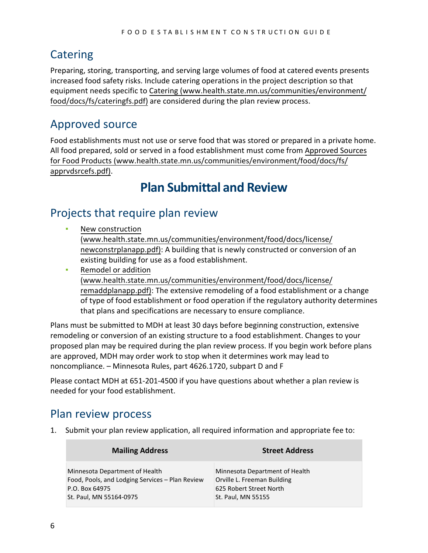### <span id="page-5-0"></span>**Catering**

Preparing, storing, transporting, and serving large volumes of food at catered events presents increased food safety risks. Include catering operations in the project description so that equipment needs specific to [Catering \(www.health.state.mn.us/](http://www.health.state.mn.us/communities/environment/food/docs/fs/cateringfs.pdf)communities/environment/ [food/docs/fs/cateringfs.pdf](http://www.health.state.mn.us/communities/environment/food/docs/fs/cateringfs.pdf)) are considered during the plan review process.

### <span id="page-5-1"></span>Approved source

<span id="page-5-2"></span>Food establishments must not use or serve food that was stored or prepared in a private home. All food prepared, sold or served in a food establishment must come from [Approved Sources](http://www.health.state.mn.us/communities/environment/food/docs/fs/apprvdsrcefs.pdf) [for Food Products \(www.health.state.mn.us/](http://www.health.state.mn.us/communities/environment/food/docs/fs/apprvdsrcefs.pdf)communities/environment/food/docs/fs/ [apprvdsrcefs.pdf](http://www.health.state.mn.us/communities/environment/food/docs/fs/apprvdsrcefs.pdf)).

## **Plan Submittal and Review**

#### <span id="page-5-3"></span>Projects that require plan review

- [New construction](http://www.health.state.mn.us/communities/environment/food/docs/license/newconstrplanapp.pdf) ([www.health.state.mn.us/communities/environment/food/docs/license/](http://www.health.state.mn.us/communities/environment/food/docs/license/newconstrplanapp.pdf) [newconstrplanapp.pdf](http://www.health.state.mn.us/communities/environment/food/docs/license/newconstrplanapp.pdf)): A building that is newly constructed or conversion of an existing building for use as a food establishment.
- Remodel or addition ([www.health.state.mn.us/communities/environment/food/docs/license/](http://www.health.state.mn.us/communities/environment/food/docs/license/remaddplanapp.pdf) remaddplanapp.pdf): The extensive remodeling of a food establishment or a change of type of food establishment or food operation if the regulatory authority determines that plans and specifications are necessary to ensure compliance.

Plans must be submitted to MDH at least 30 days before beginning construction, extensive remodeling or conversion of an existing structure to a food establishment. Changes to your proposed plan may be required during the plan review process. If you begin work before plans are approved, MDH may order work to stop when it determines work may lead to noncompliance. – Minnesota Rules, part 4626.1720, subpart D and F

Please contact MDH at 651-201-4500 if you have questions about whether a plan review is needed for your food establishment.

### <span id="page-5-4"></span>Plan review process

1. Submit your plan review application, all required information and appropriate fee to:

| <b>Mailing Address</b>                                                                                                         | <b>Street Address</b>                                                                                          |
|--------------------------------------------------------------------------------------------------------------------------------|----------------------------------------------------------------------------------------------------------------|
| Minnesota Department of Health<br>Food, Pools, and Lodging Services - Plan Review<br>P.O. Box 64975<br>St. Paul, MN 55164-0975 | Minnesota Department of Health<br>Orville L. Freeman Building<br>625 Robert Street North<br>St. Paul, MN 55155 |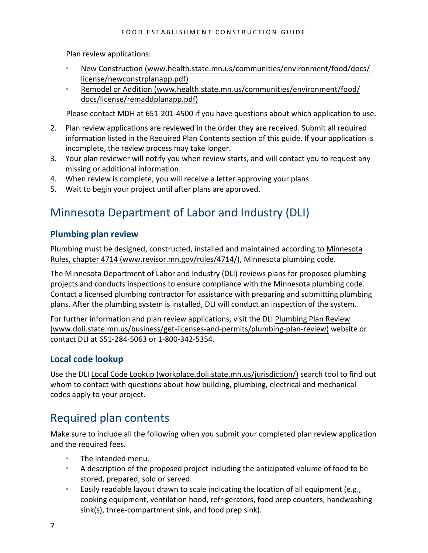Plan review applications:

- New Construction ([www.health.state.mn.us/communities/environment/food/docs/](http://www.health.state.mn.us/communities/environment/food/docs/license/newconstrplanapp.pdf) [license/newconstrplanapp.pdf\)](http://www.health.state.mn.us/communities/environment/food/docs/license/newconstrplanapp.pdf)
- Remodel or Addition ([www.health.state.mn.us/communities/environment/food/](http://www.health.state.mn.us/communities/environment/food/docs/license/remaddplanapp.pdf) [docs/license/remaddplanapp.pdf\)](http://www.health.state.mn.us/communities/environment/food/docs/license/remaddplanapp.pdf)

Please contact MDH at 651-201-4500 if you have questions about which application to use.

- 2. Plan review applications are reviewed in the order they are received. Submit all required information listed in the Required Plan Contents section of this guide. If your application is incomplete, the review process may take longer.
- 3. Your plan reviewer will notify you when review starts, and will contact you to request any missing or additional information.
- 4. When review is complete, you will receive a letter approving your plans.
- 5. Wait to begin your project until after plans are approved.

#### <span id="page-6-0"></span>Minnesota Department of Labor and Industry (DLI)

#### **Plumbing plan review**

Plumbing must be designed, constructed, installed and maintained according to [Minnesota](https://www.revisor.mn.gov/rules/4714/) [Rules, chapter 4714 \(www.revisor.mn.gov/rules/4714](https://www.revisor.mn.gov/rules/4714/)/), Minnesota plumbing code.

The Minnesota Department of Labor and Industry (DLI) reviews plans for proposed plumbing projects and conducts inspections to ensure compliance with the Minnesota plumbing code. Contact a licensed plumbing contractor for assistance with preparing and submitting plumbing plans. After the plumbing system is installed, DLI will conduct an inspection of the system.

For further information and plan review applications, visit the DLI [Plumbing Plan Review](http://www.doli.state.mn.us/business/get-licenses-and-permits/plumbing-plan-review) [\(www.doli.state.mn.us/business/get-licenses-and-permits/plumbing-plan-review\)](http://www.doli.state.mn.us/business/get-licenses-and-permits/plumbing-plan-review) website or contact DLI at 651-284-5063 or 1-800-342-5354.

#### **Local code lookup**

Use the DLI [Local Code Lookup \(workplace.doli.state.mn.us/jurisdiction/\)](http://workplace.doli.state.mn.us/jurisdiction/) search tool to find out whom to contact with questions about how building, plumbing, electrical and mechanical codes apply to your project.

#### <span id="page-6-1"></span>Required plan contents

Make sure to include all the following when you submit your completed plan review application and the required fees.

- The intended menu.
- A description of the proposed project including the anticipated volume of food to be stored, prepared, sold or served.
- **Easily readable layout drawn to scale indicating the location of all equipment (e.g.,** cooking equipment, ventilation hood, refrigerators, food prep counters, handwashing sink(s), three-compartment sink, and food prep sink).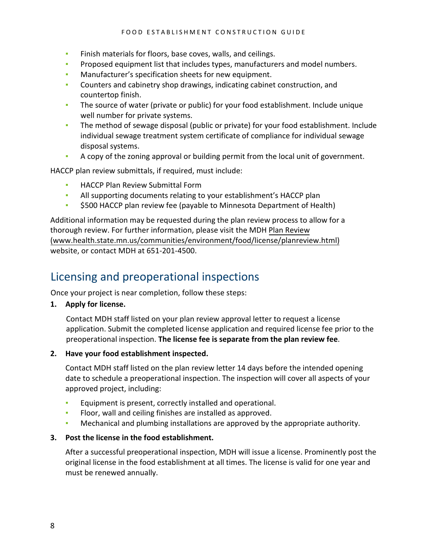- **EXECT** Finish materials for floors, base coves, walls, and ceilings.
- **•** Proposed equipment list that includes types, manufacturers and model numbers.
- Manufacturer's specification sheets for new equipment.
- Counters and cabinetry shop drawings, indicating cabinet construction, and countertop finish.
- The source of water (private or public) for your food establishment. Include unique well number for private systems.
- **The method of sewage disposal (public or private) for your food establishment. Include** individual sewage treatment system certificate of compliance for individual sewage disposal systems.
- A copy of the zoning approval or building permit from the local unit of government.

HACCP plan review submittals, if required, must include:

- **EXECCP Plan Review Submittal Form**
- All supporting documents relating to your establishment's HACCP plan
- \$500 HACCP plan review fee (payable to Minnesota Department of Health)

Additional information may be requested during the plan review process to allow for a thorough review. For further information, please visit the MDH [Plan Review](http://www.health.state.mn.us/communities/environment/food/license/planreview.html) ([www.health.state.mn.us/communities/environment/food/license/planreview.html](http://www.health.state.mn.us/communities/environment/food/license/planreview.html)) website, or contact MDH at 651-201-4500.

#### <span id="page-7-0"></span>Licensing and preoperational inspections

Once your project is near completion, follow these steps:

**1. Apply for license.**

Contact MDH staff listed on your plan review approval letter to request a license application. Submit the completed license application and required license fee prior to the preoperational inspection. **The license fee is separate from the plan review fee**.

**2. Have your food establishment inspected.**

Contact MDH staff listed on the plan review letter 14 days before the intended opening date to schedule a preoperational inspection. The inspection will cover all aspects of your approved project, including:

- **Equipment is present, correctly installed and operational.**
- Floor, wall and ceiling finishes are installed as approved.
- Mechanical and plumbing installations are approved by the appropriate authority.

#### **3. Post the license in the food establishment.**

After a successful preoperational inspection, MDH will issue a license. Prominently post the original license in the food establishment at all times. The license is valid for one year and must be renewed annually.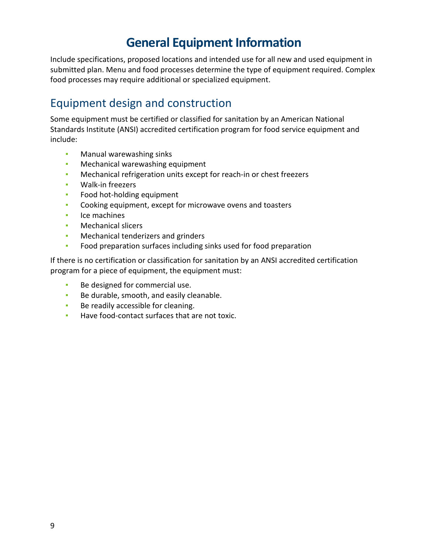## **General Equipment Information**

<span id="page-8-0"></span>Include specifications, proposed locations and intended use for all new and used equipment in submitted plan. Menu and food processes determine the type of equipment required. Complex food processes may require additional or specialized equipment.

### <span id="page-8-1"></span>Equipment design and construction

Some equipment must be certified or classified for sanitation by an American National Standards Institute (ANSI) accredited certification program for food service equipment and include:

- **■** Manual warewashing sinks
- **Mechanical warewashing equipment**
- Mechanical refrigeration units except for reach-in or chest freezers
- Walk-in freezers
- Food hot-holding equipment
- Cooking equipment, except for microwave ovens and toasters
- Ice machines
- Mechanical slicers
- **Mechanical tenderizers and grinders**
- Food preparation surfaces including sinks used for food preparation

If there is no certification or classification for sanitation by an ANSI accredited certification program for a piece of equipment, the equipment must:

- Be designed for commercial use.
- Be durable, smooth, and easily cleanable.
- **EXEC** Be readily accessible for cleaning.
- Have food-contact surfaces that are not toxic.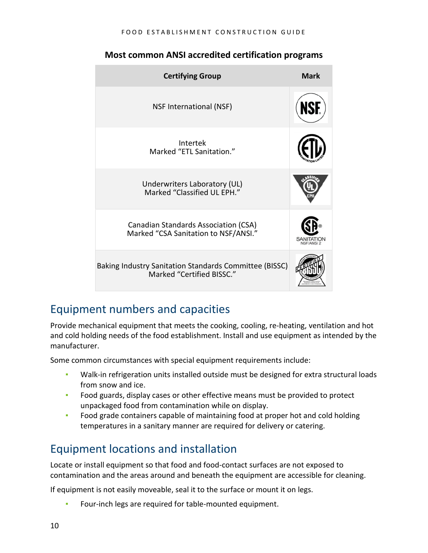| <b>Certifying Group</b>                                                             | <b>Mark</b> |
|-------------------------------------------------------------------------------------|-------------|
| NSF International (NSF)                                                             |             |
| Intertek<br>Marked "ETL Sanitation."                                                |             |
| Underwriters Laboratory (UL)<br>Marked "Classified UL EPH."                         |             |
| Canadian Standards Association (CSA)<br>Marked "CSA Sanitation to NSF/ANSI."        |             |
| Baking Industry Sanitation Standards Committee (BISSC)<br>Marked "Certified BISSC." |             |

#### **Most common ANSI accredited certification programs**

### <span id="page-9-0"></span>Equipment numbers and capacities

Provide mechanical equipment that meets the cooking, cooling, re-heating, ventilation and hot and cold holding needs of the food establishment. Install and use equipment as intended by the manufacturer.

Some common circumstances with special equipment requirements include:

- Walk-in refrigeration units installed outside must be designed for extra structural loads from snow and ice.
- **•** Food guards, display cases or other effective means must be provided to protect unpackaged food from contamination while on display.
- **Food grade containers capable of maintaining food at proper hot and cold holding** temperatures in a sanitary manner are required for delivery or catering.

### <span id="page-9-1"></span>Equipment locations and installation

Locate or install equipment so that food and food-contact surfaces are not exposed to contamination and the areas around and beneath the equipment are accessible for cleaning.

If equipment is not easily moveable, seal it to the surface or mount it on legs.

Four-inch legs are required for table-mounted equipment.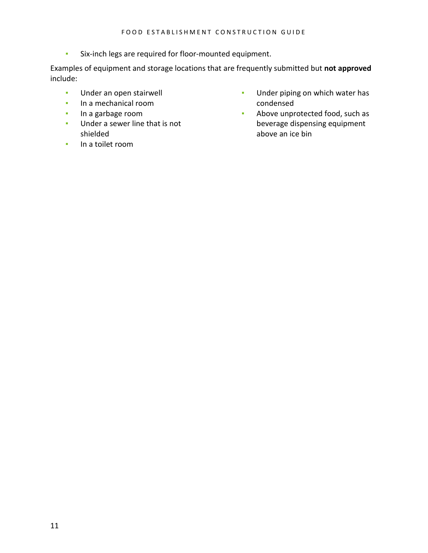▪ Six-inch legs are required for floor-mounted equipment.

Examples of equipment and storage locations that are frequently submitted but **not approved** include:

- **■** Under an open stairwell
- In a mechanical room
- In a garbage room
- Under a sewer line that is not shielded
- In a toilet room
- **·** Under piping on which water has condensed
- Above unprotected food, such as beverage dispensing equipment above an ice bin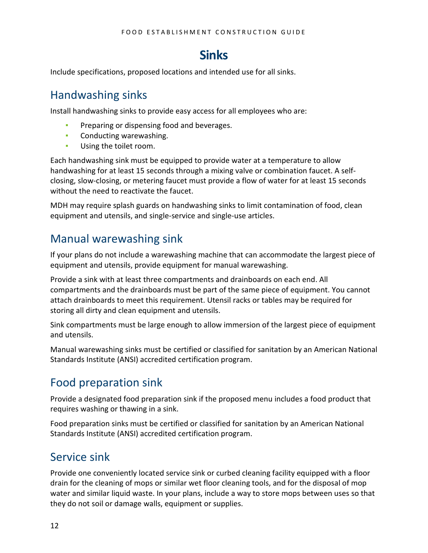### **Sinks**

<span id="page-11-0"></span>Include specifications, proposed locations and intended use for all sinks.

#### <span id="page-11-1"></span>Handwashing sinks

Install handwashing sinks to provide easy access for all employees who are:

- **Preparing or dispensing food and beverages.**
- **Conducting warewashing.**
- **■** Using the toilet room.

Each handwashing sink must be equipped to provide water at a temperature to allow handwashing for at least 15 seconds through a mixing valve or combination faucet. A selfclosing, slow-closing, or metering faucet must provide a flow of water for at least 15 seconds without the need to reactivate the faucet.

MDH may require splash guards on handwashing sinks to limit contamination of food, clean equipment and utensils, and single-service and single-use articles.

#### <span id="page-11-2"></span>Manual warewashing sink

If your plans do not include a warewashing machine that can accommodate the largest piece of equipment and utensils, provide equipment for manual warewashing.

Provide a sink with at least three compartments and drainboards on each end. All compartments and the drainboards must be part of the same piece of equipment. You cannot attach drainboards to meet this requirement. Utensil racks or tables may be required for storing all dirty and clean equipment and utensils.

Sink compartments must be large enough to allow immersion of the largest piece of equipment and utensils.

Manual warewashing sinks must be certified or classified for sanitation by an American National Standards Institute (ANSI) accredited certification program.

### <span id="page-11-3"></span>Food preparation sink

Provide a designated food preparation sink if the proposed menu includes a food product that requires washing or thawing in a sink.

Food preparation sinks must be certified or classified for sanitation by an American National Standards Institute (ANSI) accredited certification program.

### <span id="page-11-4"></span>Service sink

Provide one conveniently located service sink or curbed cleaning facility equipped with a floor drain for the cleaning of mops or similar wet floor cleaning tools, and for the disposal of mop water and similar liquid waste. In your plans, include a way to store mops between uses so that they do not soil or damage walls, equipment or supplies.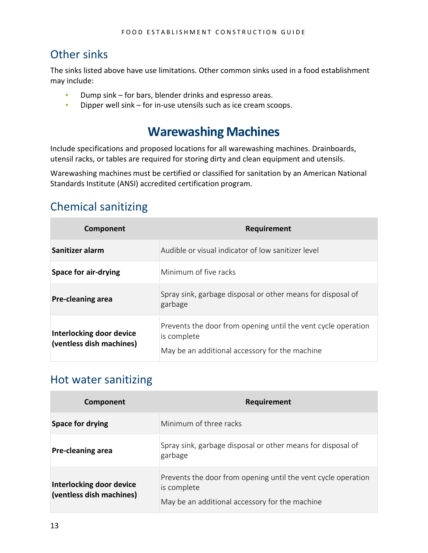#### <span id="page-12-0"></span>Other sinks

The sinks listed above have use limitations. Other common sinks used in a food establishment may include:

- Dump sink for bars, blender drinks and espresso areas.
- <span id="page-12-1"></span>▪ Dipper well sink – for in-use utensils such as ice cream scoops.

### **Warewashing Machines**

Include specifications and proposed locations for all warewashing machines. Drainboards, utensil racks, or tables are required for storing dirty and clean equipment and utensils.

Warewashing machines must be certified or classified for sanitation by an American National Standards Institute (ANSI) accredited certification program.

#### <span id="page-12-2"></span>Chemical sanitizing

| Component                                            | Requirement                                                                                                                    |
|------------------------------------------------------|--------------------------------------------------------------------------------------------------------------------------------|
| Sanitizer alarm                                      | Audible or visual indicator of low sanitizer level                                                                             |
| <b>Space for air-drying</b>                          | Minimum of five racks                                                                                                          |
| Pre-cleaning area                                    | Spray sink, garbage disposal or other means for disposal of<br>garbage                                                         |
| Interlocking door device<br>(ventless dish machines) | Prevents the door from opening until the vent cycle operation<br>is complete<br>May be an additional accessory for the machine |

#### <span id="page-12-3"></span>Hot water sanitizing

| Component                                            | <b>Requirement</b>                                                                                                             |
|------------------------------------------------------|--------------------------------------------------------------------------------------------------------------------------------|
| <b>Space for drying</b>                              | Minimum of three racks                                                                                                         |
| Pre-cleaning area                                    | Spray sink, garbage disposal or other means for disposal of<br>garbage                                                         |
| Interlocking door device<br>(ventless dish machines) | Prevents the door from opening until the vent cycle operation<br>is complete<br>May be an additional accessory for the machine |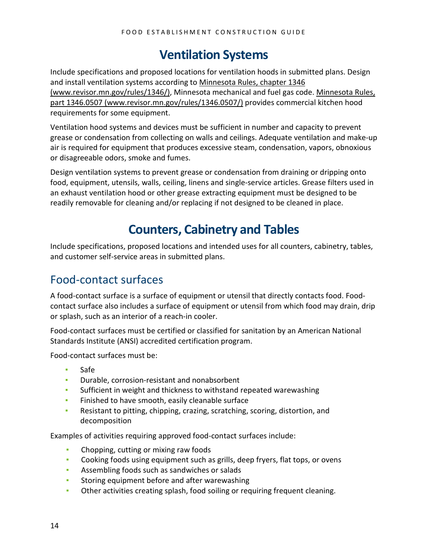## **Ventilation Systems**

<span id="page-13-0"></span>Include specifications and proposed locations for ventilation hoods in submitted plans. Design and install ventilation systems according to [Minnesota Rules, chapter 1346](https://www.revisor.mn.gov/rules/1346/)  [\(www.revisor.mn.gov/rules/1346/\),](https://www.revisor.mn.gov/rules/1346/) Minnesota mechanical and fuel gas code. [Minnesota Rules,](https://www.revisor.mn.gov/rules/1346.0507/)  [part 1346.0507 \(www.revisor.mn.gov/rules/1346.0507/\)](https://www.revisor.mn.gov/rules/1346.0507/) provides commercial kitchen hood requirements for some equipment.

Ventilation hood systems and devices must be sufficient in number and capacity to prevent grease or condensation from collecting on walls and ceilings. Adequate ventilation and make-up air is required for equipment that produces excessive steam, condensation, vapors, obnoxious or disagreeable odors, smoke and fumes.

Design ventilation systems to prevent grease or condensation from draining or dripping onto food, equipment, utensils, walls, ceiling, linens and single-service articles. Grease filters used in an exhaust ventilation hood or other grease extracting equipment must be designed to be readily removable for cleaning and/or replacing if not designed to be cleaned in place.

## **Counters, Cabinetry and Tables**

<span id="page-13-1"></span>Include specifications, proposed locations and intended uses for all counters, cabinetry, tables, and customer self-service areas in submitted plans.

### <span id="page-13-2"></span>Food-contact surfaces

A food-contact surface is a surface of equipment or utensil that directly contacts food. Foodcontact surface also includes a surface of equipment or utensil from which food may drain, drip or splash, such as an interior of a reach-in cooler.

Food-contact surfaces must be certified or classified for sanitation by an American National Standards Institute (ANSI) accredited certification program.

Food-contact surfaces must be:

- Safe
- **•** Durable, corrosion-resistant and nonabsorbent
- Sufficient in weight and thickness to withstand repeated warewashing
- **EXECTE:** Finished to have smooth, easily cleanable surface
- Resistant to pitting, chipping, crazing, scratching, scoring, distortion, and decomposition

Examples of activities requiring approved food-contact surfaces include:

- Chopping, cutting or mixing raw foods
- **•** Cooking foods using equipment such as grills, deep fryers, flat tops, or ovens
- Assembling foods such as sandwiches or salads
- **EXECT:** Storing equipment before and after warewashing
- Other activities creating splash, food soiling or requiring frequent cleaning.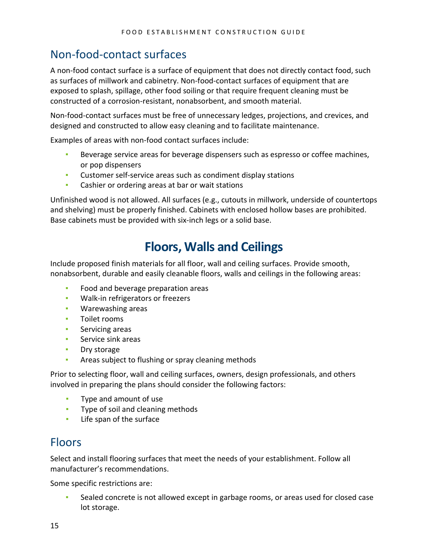#### <span id="page-14-0"></span>Non-food-contact surfaces

A non-food contact surface is a surface of equipment that does not directly contact food, such as surfaces of millwork and cabinetry. Non-food-contact surfaces of equipment that are exposed to splash, spillage, other food soiling or that require frequent cleaning must be constructed of a corrosion-resistant, nonabsorbent, and smooth material.

Non-food-contact surfaces must be free of unnecessary ledges, projections, and crevices, and designed and constructed to allow easy cleaning and to facilitate maintenance.

Examples of areas with non-food contact surfaces include:

- Beverage service areas for beverage dispensers such as espresso or coffee machines, or pop dispensers
- Customer self-service areas such as condiment display stations
- **EXEC** Cashier or ordering areas at bar or wait stations

Unfinished wood is not allowed. All surfaces (e.g., cutouts in millwork, underside of countertops and shelving) must be properly finished. Cabinets with enclosed hollow bases are prohibited. Base cabinets must be provided with six-inch legs or a solid base.

### **Floors, Walls and Ceilings**

<span id="page-14-1"></span>Include proposed finish materials for all floor, wall and ceiling surfaces. Provide smooth, nonabsorbent, durable and easily cleanable floors, walls and ceilings in the following areas:

- **Food and beverage preparation areas**
- **·** Walk-in refrigerators or freezers
- Warewashing areas
- Toilet rooms
- **•** Servicing areas
- Service sink areas
- Dry storage
- **EXED:** Areas subject to flushing or spray cleaning methods

Prior to selecting floor, wall and ceiling surfaces, owners, design professionals, and others involved in preparing the plans should consider the following factors:

- **•** Type and amount of use
- **•** Type of soil and cleaning methods
- **EXEC** If the surface

#### <span id="page-14-2"></span>Floors

Select and install flooring surfaces that meet the needs of your establishment. Follow all manufacturer's recommendations.

Some specific restrictions are:

Sealed concrete is not allowed except in garbage rooms, or areas used for closed case lot storage.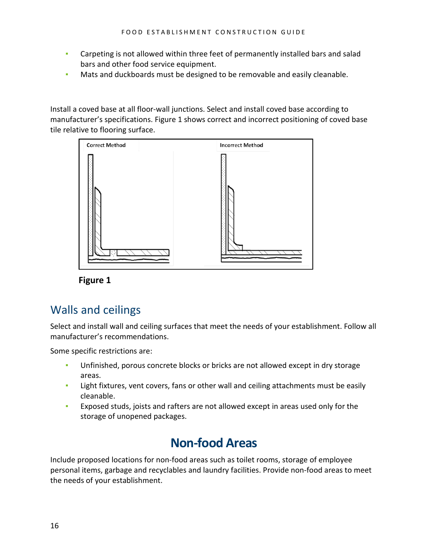- **•** Carpeting is not allowed within three feet of permanently installed bars and salad bars and other food service equipment.
- **Mats and duckboards must be designed to be removable and easily cleanable.**

Install a coved base at all floor-wall junctions. Select and install coved base according to manufacturer's specifications. Figure 1 shows correct and incorrect positioning of coved base tile relative to flooring surface.



**Figure 1**

#### <span id="page-15-0"></span>Walls and ceilings

Select and install wall and ceiling surfaces that meet the needs of your establishment. Follow all manufacturer's recommendations.

Some specific restrictions are:

- Unfinished, porous concrete blocks or bricks are not allowed except in dry storage areas.
- **EXECT** Light fixtures, vent covers, fans or other wall and ceiling attachments must be easily cleanable.
- <span id="page-15-1"></span>**Exposed studs, joists and rafters are not allowed except in areas used only for the** storage of unopened packages.

### **Non-food Areas**

Include proposed locations for non-food areas such as toilet rooms, storage of employee personal items, garbage and recyclables and laundry facilities. Provide non-food areas to meet the needs of your establishment.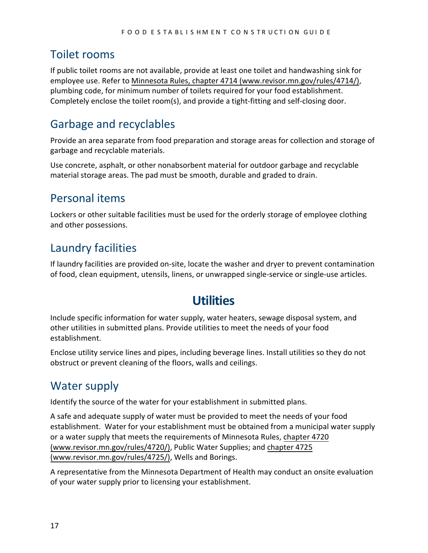#### <span id="page-16-0"></span>Toilet rooms

If public toilet rooms are not available, provide at least one toilet and handwashing sink for employee use. Refer to [Minnesota Rules, chapter 4714 \(www.revisor.mn.gov/rules/4714](https://www.revisor.mn.gov/rules/4714/)/), plumbing code, for minimum number of toilets required for your food establishment. Completely enclose the toilet room(s), and provide a tight-fitting and self-closing door.

### <span id="page-16-1"></span>Garbage and recyclables

Provide an area separate from food preparation and storage areas for collection and storage of garbage and recyclable materials.

Use concrete, asphalt, or other nonabsorbent material for outdoor garbage and recyclable material storage areas. The pad must be smooth, durable and graded to drain.

### <span id="page-16-2"></span>Personal items

Lockers or other suitable facilities must be used for the orderly storage of employee clothing and other possessions.

### <span id="page-16-3"></span>Laundry facilities

<span id="page-16-4"></span>If laundry facilities are provided on-site, locate the washer and dryer to prevent contamination of food, clean equipment, utensils, linens, or unwrapped single-service or single-use articles.

## **Utilities**

Include specific information for water supply, water heaters, sewage disposal system, and other utilities in submitted plans. Provide utilities to meet the needs of your food establishment.

<span id="page-16-5"></span>Enclose utility service lines and pipes, including beverage lines. Install utilities so they do not obstruct or prevent cleaning of the floors, walls and ceilings.

### Water supply

Identify the source of the water for your establishment in submitted plans.

A safe and adequate supply of water must be provided to meet the needs of your food establishment. Water for your establishment must be obtained from a municipal water supply or a water supply that meets the requirements of Minnesota Rules, [chapter 4720](https://www.revisor.mn.gov/rules/4720/)  [\(www.revisor.mn.gov/rules/4720/\),](https://www.revisor.mn.gov/rules/4720/) Public Water Supplies; and [chapter 4725](https://www.revisor.mn.gov/rules/4725/)  [\(www.revisor.mn.gov/rules/4725/\),](https://www.revisor.mn.gov/rules/4725/) Wells and Borings.

A representative from the Minnesota Department of Health may conduct an onsite evaluation of your water supply prior to licensing your establishment.